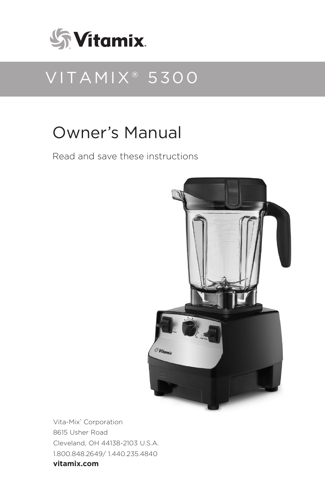

# VITAMIX® 5300

# Owner's Manual

Read and save these instructions



Vita-Mix® Corporation 8615 Usher Road Cleveland, OH 44138-2103 U.S.A. 1.800.848.2649/ 1.440.235.4840 **vitamix.com**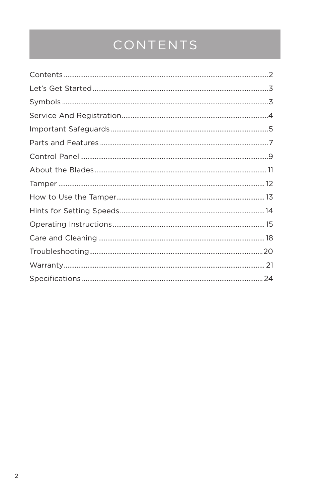# CONTENTS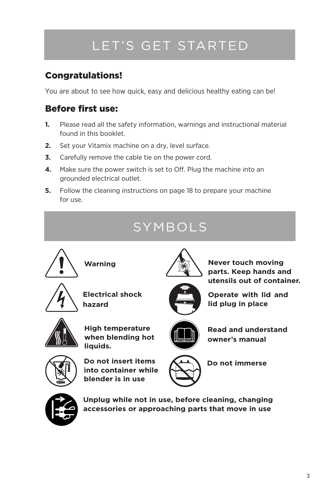# LET'S GET STARTED

### Congratulations!

You are about to see how quick, easy and delicious healthy eating can be!

### Before first use:

- **1.** Please read all the safety information, warnings and instructional material found in this booklet.
- **2.** Set your Vitamix machine on a dry, level surface.
- **3.** Carefully remove the cable tie on the power cord.
- **4.** Make sure the power switch is set to Off. Plug the machine into an grounded electrical outlet.
- **5.** Follow the cleaning instructions on page 18 to prepare your machine for use.





**Unplug while not in use, before cleaning, changing accessories or approaching parts that move in use**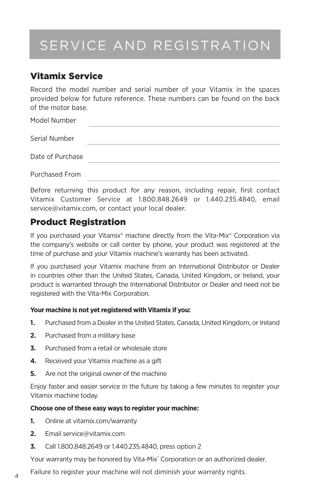# SERVICE AND REGISTRATION

### Vitamix Service

Record the model number and serial number of your Vitamix in the spaces provided below for future reference. These numbers can be found on the back of the motor base.

| Model Number     |  |
|------------------|--|
| Serial Number    |  |
| Date of Purchase |  |
| Purchased From   |  |

Before returning this product for any reason, including repair, first contact Vitamix Customer Service at 1.800.848.2649 or 1.440.235.4840, email service@vitamix.com, or contact your local dealer.

### Product Registration

If you purchased your Vitamix® machine directly from the Vita-Mix® Corporation via the company's website or call center by phone, your product was registered at the time of purchase and your Vitamix machine's warranty has been activated.

If you purchased your Vitamix machine from an International Distributor or Dealer in countries other than the United States, Canada, United Kingdom, or Ireland, your product is warranted through the International Distributor or Dealer and need not be registered with the Vita-Mix Corporation.

#### **Your machine is not yet registered with Vitamix if you:**

- **1.** Purchased from a Dealer in the United States, Canada, United Kingdom, or Ireland
- **2.** Purchased from a military base
- **3.** Purchased from a retail or wholesale store
- **4.** Received your Vitamix machine as a gift
- **5.** Are not the original owner of the machine

Enjoy faster and easier service in the future by taking a few minutes to register your Vitamix machine today.

#### **Choose one of these easy ways to register your machine:**

- **1.** Online at vitamix.com/warranty
- **2.** Email service@vitamix.com
- **3.** Call 1.800.848.2649 or 1.440.235.4840, press option 2

Your warranty may be honored by Vita-Mix® Corporation or an authorized dealer.

Failure to register your machine will not diminish your warranty rights.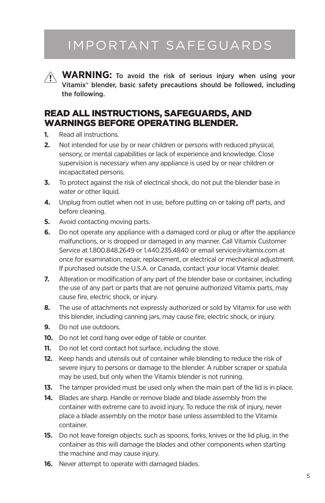## IMPORTANT SAFEGUARDS

**WARNING:** To avoid the risk of serious injury when using your Vitamix® blender, basic safety precautions should be followed, including the following.

### READ ALL INSTRUCTIONS, SAFEGUARDS, AND WARNINGS BEFORE OPERATING BLENDER.

- **1.** Read all instructions.
- **2.** Not intended for use by or near children or persons with reduced physical, sensory, or mental capabilities or lack of experience and knowledge. Close supervision is necessary when any appliance is used by or near children or incapacitated persons.
- **3.** To protect against the risk of electrical shock, do not put the blender base in water or other liquid.
- **4.** Unplug from outlet when not in use, before putting on or taking off parts, and before cleaning.
- **5.** Avoid contacting moving parts.
- **6.** Do not operate any appliance with a damaged cord or plug or after the appliance malfunctions, or is dropped or damaged in any manner. Call Vitamix Customer Service at 1.800.848.2649 or 1.440.235.4840 or email service@vitamix.com at once for examination, repair, replacement, or electrical or mechanical adjustment. If purchased outside the U.S.A. or Canada, contact your local Vitamix dealer.
- **7.** Alteration or modification of any part of the blender base or container, including the use of any part or parts that are not genuine authorized Vitamix parts, may cause fire, electric shock, or injury.
- **8.** The use of attachments not expressly authorized or sold by Vitamix for use with this blender, including canning jars, may cause fire, electric shock, or injury.
- **9.** Do not use outdoors.
- **10.** Do not let cord hang over edge of table or counter.
- **11.** Do not let cord contact hot surface, including the stove.
- **12.** Keep hands and utensils out of container while blending to reduce the risk of severe injury to persons or damage to the blender. A rubber scraper or spatula may be used, but only when the Vitamix blender is not running.
- **13.** The tamper provided must be used only when the main part of the lid is in place.
- **14.** Blades are sharp. Handle or remove blade and blade assembly from the container with extreme care to avoid injury. To reduce the risk of injury, never place a blade assembly on the motor base unless assembled to the Vitamix container.
- **15.** Do not leave foreign objects, such as spoons, forks, knives or the lid plug, in the container as this will damage the blades and other components when starting the machine and may cause injury.
- **16.** Never attempt to operate with damaged blades.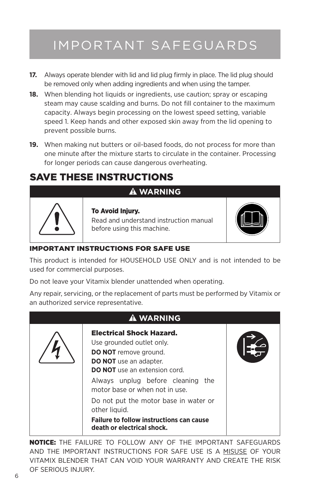# IMPORTANT SAFEGUARDS

- **17.** Always operate blender with lid and lid plug firmly in place. The lid plug should be removed only when adding ingredients and when using the tamper.
- **18.** When blending hot liquids or ingredients, use caution; spray or escaping steam may cause scalding and burns. Do not fill container to the maximum capacity. Always begin processing on the lowest speed setting, variable speed 1. Keep hands and other exposed skin away from the lid opening to prevent possible burns.
- **19.** When making nut butters or oil-based foods, do not process for more than one minute after the mixture starts to circulate in the container. Processing for longer periods can cause dangerous overheating.

### SAVE THESE INSTRUCTIONS



## **WARNING**

To Avoid Injury.

Read and understand instruction manual before using this machine.



#### IMPORTANT INSTRUCTIONS FOR SAFE USE

This product is intended for HOUSEHOLD USE ONLY and is not intended to be used for commercial purposes.

Do not leave your Vitamix blender unattended when operating.

Any repair, servicing, or the replacement of parts must be performed by Vitamix or an authorized service representative.



NOTICE: THE FAILURE TO FOLLOW ANY OF THE IMPORTANT SAFEGUARDS AND THE IMPORTANT INSTRUCTIONS FOR SAFE USE IS A MISUSE OF YOUR VITAMIX BLENDER THAT CAN VOID YOUR WARRANTY AND CREATE THE RISK OF SERIOUS INJURY.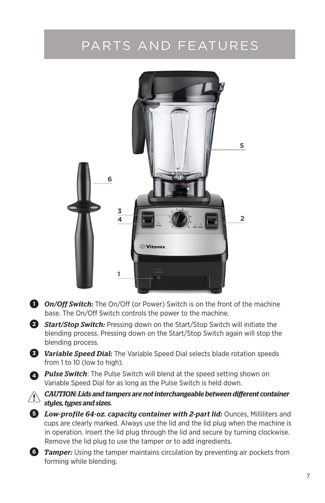# PARTS AND FEATURES



**1** *On/Off Switch:* The On/Off (or Power) Switch is on the front of the machine base. The On/Off Switch controls the power to the machine.

**2** *Start/Stop Switch:* Pressing down on the Start/Stop Switch will initiate the blending process. Pressing down on the Start/Stop Switch again will stop the blending process.

**3** *Variable Speed Dial:* The Variable Speed Dial selects blade rotation speeds from 1 to 10 (low to high).

**<sup>4</sup>** *Pulse Switch*: The Pulse Switch will blend at the speed setting shown on Variable Speed Dial for as long as the Pulse Switch is held down.

*CAUTION: Lids and tampers are not interchangeable between different container styles, types and sizes.*

**5** *Low-profile 64-oz. capacity container with 2-part lid:* Ounces, Milliliters and cups are clearly marked. Always use the lid and the lid plug when the machine is in operation. Insert the lid plug through the lid and secure by turning clockwise. Remove the lid plug to use the tamper or to add ingredients.



**6** *Tamper:* Using the tamper maintains circulation by preventing air pockets from forming while blending.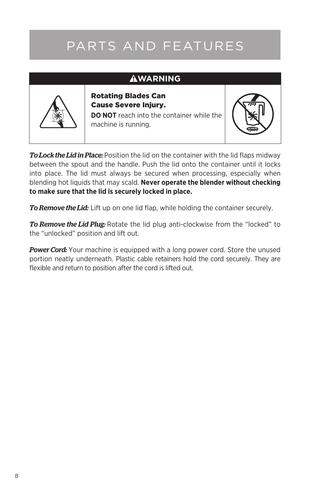# PARTS AND FEATURES

### **AWARNING**



Rotating Blades Can Cause Severe Injury.

**DO NOT** reach into the container while the machine is running.



*To Lock the Lid in Place:* Position the lid on the container with the lid flaps midway between the spout and the handle. Push the lid onto the container until it locks into place. The lid must always be secured when processing, especially when blending hot liquids that may scald. **Never operate the blender without checking to make sure that the lid is securely locked in place.**

*To Remove the Lid:* Lift up on one lid flap, while holding the container securely.

*To Remove the Lid Plug:* Rotate the lid plug anti-clockwise from the "locked" to the "unlocked" position and lift out.

**Power Cord:** Your machine is equipped with a long power cord. Store the unused portion neatly underneath. Plastic cable retainers hold the cord securely. They are flexible and return to position after the cord is lifted out.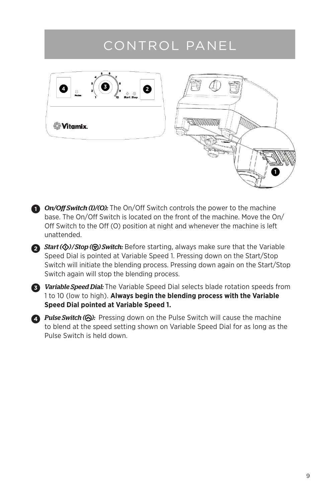## CONTROL PANEL



- **1** On/Off Switch (I)/(O): The On/Off Switch controls the power to the machine base. The On/Off Switch is located on the front of the machine. Move the On/ Off Switch to the Off (O) position at night and whenever the machine is left unattended.
- **1** *Start (* $\circled{v}$ *)/Stop (* $\circled{v}$ *) Switch:* Before starting, always make sure that the Variable Speed Dial is pointed at Variable Speed 1. Pressing down on the Start/Stop Switch will initiate the blending process. Pressing down again on the Start/Stop Switch again will stop the blending process.



*Variable Speed Dial:* The Variable Speed Dial selects blade rotation speeds from **3** 1 to 10 (low to high). **Always begin the blending process with the Variable Speed Dial pointed at Variable Speed 1.**

2 **Pulse Switch (** $\bigcirc$ **):** Pressing down on the Pulse Switch will cause the machine to blend at the speed setting shown on Variable Speed Dial for as long as the Pulse Switch is held down.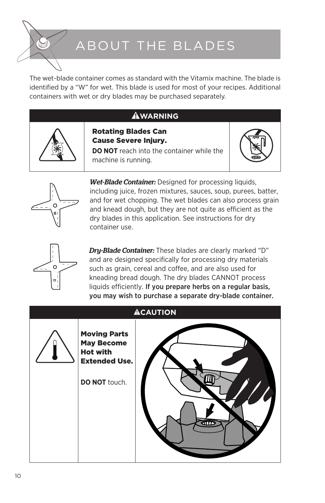# ABOUT THE BLADES

The wet-blade container comes as standard with the Vitamix machine. The blade is identified by a "W" for wet. This blade is used for most of your recipes. Additional containers with wet or dry blades may be purchased separately.

### **WARNING**



Cause Severe Injury. **DO NOT** reach into the container while the

Rotating Blades Can

machine is running.





*Wet-Blade Container:* Designed for processing liquids, including juice, frozen mixtures, sauces, soup, purees, batter, and for wet chopping. The wet blades can also process grain and knead dough, but they are not quite as efficient as the dry blades in this application. See instructions for dry container use.



*Dry-Blade Container:* These blades are clearly marked "D" and are designed specifically for processing dry materials such as grain, cereal and coffee, and are also used for kneading bread dough. The dry blades CANNOT process liquids efficiently. If you prepare herbs on a regular basis, you may wish to purchase a separate dry-blade container.

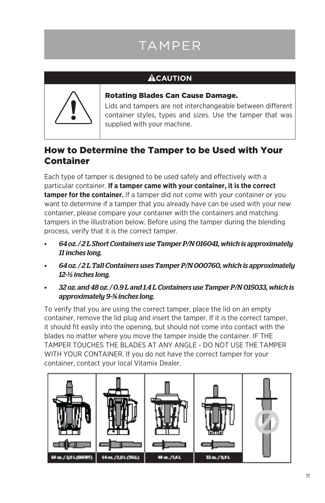# TAMPER

### **ACAUTION**



Rotating Blades Can Cause Damage.

Lids and tampers are not interchangeable between different container styles, types and sizes. Use the tamper that was supplied with your machine.

### How to Determine the Tamper to be Used with Your Container

Each type of tamper is designed to be used safely and effectively with a particular container. **If a tamper came with your container, it is the correct tamper for the container.** If a tamper did not come with your container or you want to determine if a tamper that you already have can be used with your new container, please compare your container with the containers and matching tampers in the illustration below. Before using the tamper during the blending process, verify that it is the correct tamper.

- *• 64 oz. / 2 L Short Containers use Tamper P/N 016041, which is approximately 11 inches long.*
- *• 64 oz. / 2 L Tall Containers uses Tamper P/N 000760, which is approximately 12-½ inches long.*
- *• 32 oz. and 48 oz. / 0.9 L and 1.4 L Containers use Tamper P/N 015033, which is approximately 9-¾ inches long.*

To verify that you are using the correct tamper, place the lid on an empty container, remove the lid plug and insert the tamper. If it is the correct tamper, it should fit easily into the opening, but should not come into contact with the blades no matter where you move the tamper inside the container. IF THE TAMPER TOUCHES THE BLADES AT ANY ANGLE - DO NOT USE THE TAMPER WITH YOUR CONTAINER. If you do not have the correct tamper for your container, contact your local Vitamix Dealer.

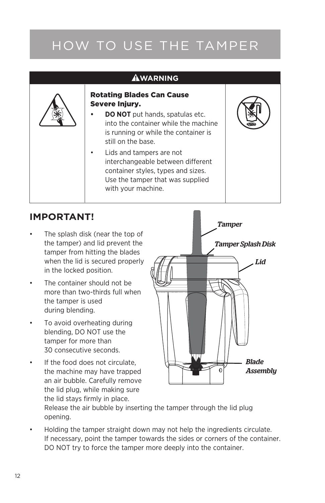# HOW TO USE THE TAMPER

| <b>WARNING</b> |                                                                                                                                                                                                                                                                                                                                                                   |  |  |  |  |
|----------------|-------------------------------------------------------------------------------------------------------------------------------------------------------------------------------------------------------------------------------------------------------------------------------------------------------------------------------------------------------------------|--|--|--|--|
|                | <b>Rotating Blades Can Cause</b><br>Severe Injury.<br>DO NOT put hands, spatulas etc.<br>into the container while the machine<br>is running or while the container is<br>still on the base.<br>Lids and tampers are not<br>٠<br>interchangeable between different<br>container styles, types and sizes.<br>Use the tamper that was supplied<br>with your machine. |  |  |  |  |

### **IMPORTANT!**

- The splash disk (near the top of the tamper) and lid prevent the tamper from hitting the blades when the lid is secured properly in the locked position.
- The container should not be more than two-thirds full when the tamper is used during blending.
- To avoid overheating during blending, DO NOT use the tamper for more than 30 consecutive seconds.
- If the food does not circulate. the machine may have trapped an air bubble. Carefully remove the lid plug, while making sure the lid stays firmly in place.



Release the air bubble by inserting the tamper through the lid plug opening.

Holding the tamper straight down may not help the ingredients circulate. If necessary, point the tamper towards the sides or corners of the container. DO NOT try to force the tamper more deeply into the container.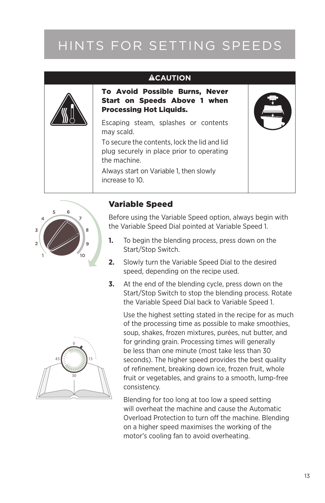# HINTS FOR SETTING SPEEDS

### **ACAUTION**

To Avoid Possible Burns, Never Start on Speeds Above 1 when Processing Hot Liquids.

Escaping steam, splashes or contents may scald.

To secure the contents, lock the lid and lid plug securely in place prior to operating the machine.

Always start on Variable 1, then slowly increase to 10.





#### Variable Speed

Before using the Variable Speed option, always begin with the Variable Speed Dial pointed at Variable Speed 1.

- **1.** To begin the blending process, press down on the Start/Stop Switch.
- **2.** Slowly turn the Variable Speed Dial to the desired speed, depending on the recipe used.
- **3.** At the end of the blending cycle, press down on the Start/Stop Switch to stop the blending process. Rotate the Variable Speed Dial back to Variable Speed 1.

Use the highest setting stated in the recipe for as much of the processing time as possible to make smoothies, soup, shakes, frozen mixtures, purées, nut butter, and for grinding grain. Processing times will generally be less than one minute (most take less than 30 seconds). The higher speed provides the best quality of refinement, breaking down ice, frozen fruit, whole fruit or vegetables, and grains to a smooth, lump-free consistency.

Blending for too long at too low a speed setting will overheat the machine and cause the Automatic Overload Protection to turn off the machine. Blending on a higher speed maximises the working of the motor's cooling fan to avoid overheating.

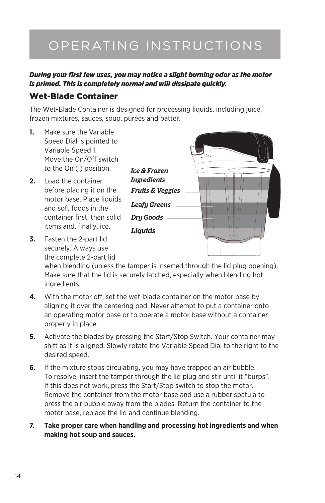# OPERATING INSTRUCTIONS

#### *During your first few uses, you may notice a slight burning odor as the motor is primed. This is completely normal and will dissipate quickly.*

#### Wet-Blade Container

The Wet-Blade Container is designed for processing liquids, including juice, frozen mixtures, sauces, soup, purées and batter.

- **1.** Make sure the Variable Speed Dial is pointed to Variable Speed 1. Move the On/Off switch to the On (I) position.
- **2.** Load the container before placing it on the motor base. Place liquids and soft foods in the container first, then solid items and, finally, ice.
- **3.** Fasten the 2-part lid securely. Always use the complete 2-part lid



when blending (unless the tamper is inserted through the lid plug opening). Make sure that the lid is securely latched, especially when blending hot ingredients.

- **4.** With the motor off, set the wet-blade container on the motor base by aligning it over the centering pad. Never attempt to put a container onto an operating motor base or to operate a motor base without a container properly in place.
- **5.** Activate the blades by pressing the Start/Stop Switch. Your container may shift as it is aligned. Slowly rotate the Variable Speed Dial to the right to the desired speed.
- **6.** If the mixture stops circulating, you may have trapped an air bubble. To resolve, insert the tamper through the lid plug and stir until it "burps". If this does not work, press the Start/Stop switch to stop the motor. Remove the container from the motor base and use a rubber spatula to press the air bubble away from the blades. Return the container to the motor base, replace the lid and continue blending.
- **7. Take proper care when handling and processing hot ingredients and when making hot soup and sauces.**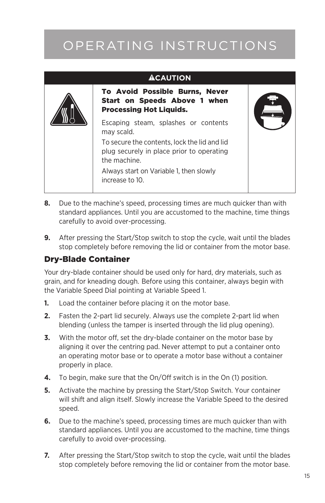# OPERATING INSTRUCTIONS

#### **ACAUTION**



- **8.** Due to the machine's speed, processing times are much quicker than with standard appliances. Until you are accustomed to the machine, time things carefully to avoid over-processing.
- **9.** After pressing the Start/Stop switch to stop the cycle, wait until the blades stop completely before removing the lid or container from the motor base.

#### Dry-Blade Container

Your dry-blade container should be used only for hard, dry materials, such as grain, and for kneading dough. Before using this container, always begin with the Variable Speed Dial pointing at Variable Speed 1.

- **1.** Load the container before placing it on the motor base.
- **2.** Fasten the 2-part lid securely. Always use the complete 2-part lid when blending (unless the tamper is inserted through the lid plug opening).
- **3.** With the motor off, set the dry-blade container on the motor base by aligning it over the centring pad. Never attempt to put a container onto an operating motor base or to operate a motor base without a container properly in place.
- **4.** To begin, make sure that the On/Off switch is in the On (1) position.
- **5.** Activate the machine by pressing the Start/Stop Switch. Your container will shift and align itself. Slowly increase the Variable Speed to the desired speed.
- **6.** Due to the machine's speed, processing times are much quicker than with standard appliances. Until you are accustomed to the machine, time things carefully to avoid over-processing.
- **7.** After pressing the Start/Stop switch to stop the cycle, wait until the blades stop completely before removing the lid or container from the motor base.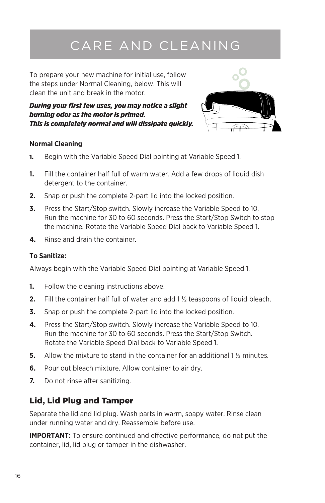# CARE AND CLEANING

To prepare your new machine for initial use, follow the steps under Normal Cleaning, below. This will clean the unit and break in the motor.

*During your first few uses, you may notice a slight burning odor as the motor is primed. This is completely normal and will dissipate quickly.*



#### **Normal Cleaning**

- 1. Begin with the Variable Speed Dial pointing at Variable Speed 1.
- **1.** Fill the container half full of warm water. Add a few drops of liquid dish detergent to the container.
- **2.** Snap or push the complete 2-part lid into the locked position.
- **3.** Press the Start/Stop switch. Slowly increase the Variable Speed to 10. Run the machine for 30 to 60 seconds. Press the Start/Stop Switch to stop the machine. Rotate the Variable Speed Dial back to Variable Speed 1.
- **4.** Rinse and drain the container.

#### **To Sanitize:**

Always begin with the Variable Speed Dial pointing at Variable Speed 1.

- **1.** Follow the cleaning instructions above.
- **2.** Fill the container half full of water and add 1 ½ teaspoons of liquid bleach.
- **3.** Snap or push the complete 2-part lid into the locked position.
- **4.** Press the Start/Stop switch. Slowly increase the Variable Speed to 10. Run the machine for 30 to 60 seconds. Press the Start/Stop Switch. Rotate the Variable Speed Dial back to Variable Speed 1.
- **5.** Allow the mixture to stand in the container for an additional 1 <sup>1</sup>/<sub>2</sub> minutes.
- **6.** Pour out bleach mixture. Allow container to air dry.
- **7.** Do not rinse after sanitizing.

### Lid, Lid Plug and Tamper

Separate the lid and lid plug. Wash parts in warm, soapy water. Rinse clean under running water and dry. Reassemble before use.

**IMPORTANT:** To ensure continued and effective performance, do not put the container, lid, lid plug or tamper in the dishwasher.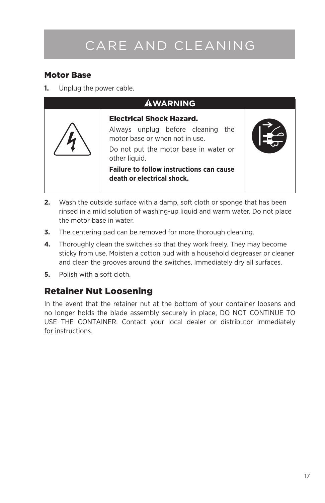# CARE AND CLEANING

### Motor Base

**1.** Unplug the power cable.



- **2.** Wash the outside surface with a damp, soft cloth or sponge that has been rinsed in a mild solution of washing-up liquid and warm water. Do not place the motor base in water.
- **3.** The centering pad can be removed for more thorough cleaning.
- **4.** Thoroughly clean the switches so that they work freely. They may become sticky from use. Moisten a cotton bud with a household degreaser or cleaner and clean the grooves around the switches. Immediately dry all surfaces.
- **5.** Polish with a soft cloth.

### Retainer Nut Loosening

In the event that the retainer nut at the bottom of your container loosens and no longer holds the blade assembly securely in place, DO NOT CONTINUE TO USE THE CONTAINER. Contact your local dealer or distributor immediately for instructions.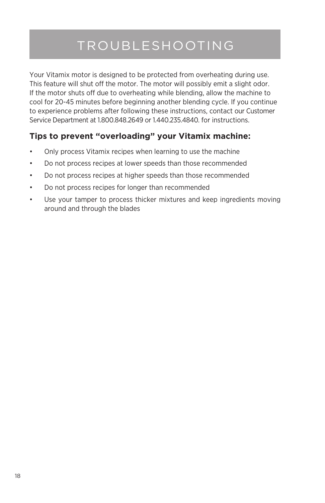# TROUBLESHOOTING

Your Vitamix motor is designed to be protected from overheating during use. This feature will shut off the motor. The motor will possibly emit a slight odor. If the motor shuts off due to overheating while blending, allow the machine to cool for 20-45 minutes before beginning another blending cycle. If you continue to experience problems after following these instructions, contact our Customer Service Department at 1.800.848.2649 or 1.440.235.4840. for instructions.

### **Tips to prevent "overloading" your Vitamix machine:**

- Only process Vitamix recipes when learning to use the machine
- • Do not process recipes at lower speeds than those recommended
- Do not process recipes at higher speeds than those recommended
- • Do not process recipes for longer than recommended
- • Use your tamper to process thicker mixtures and keep ingredients moving around and through the blades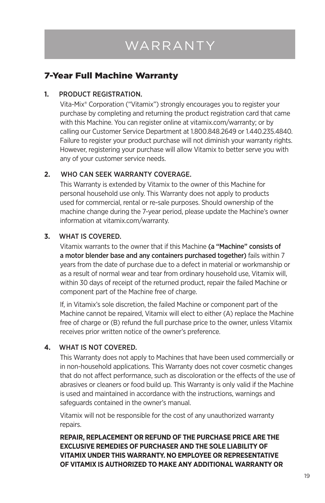# WARRANTY

### 7-Year Full Machine Warranty

#### **1.** PRODUCT REGISTRATION.

Vita-Mix® Corporation ("Vitamix") strongly encourages you to register your purchase by completing and returning the product registration card that came with this Machine. You can register online at vitamix.com/warranty; or by calling our Customer Service Department at 1.800.848.2649 or 1.440.235.4840. Failure to register your product purchase will not diminish your warranty rights. However, registering your purchase will allow Vitamix to better serve you with any of your customer service needs.

#### **2.** WHO CAN SEEK WARRANTY COVERAGE.

This Warranty is extended by Vitamix to the owner of this Machine for personal household use only. This Warranty does not apply to products used for commercial, rental or re-sale purposes. Should ownership of the machine change during the 7-year period, please update the Machine's owner information at vitamix.com/warranty.

#### **3.** WHAT IS COVERED.

Vitamix warrants to the owner that if this Machine (a "Machine" consists of a motor blender base and any containers purchased together) fails within 7 years from the date of purchase due to a defect in material or workmanship or as a result of normal wear and tear from ordinary household use, Vitamix will, within 30 days of receipt of the returned product, repair the failed Machine or component part of the Machine free of charge.

If, in Vitamix's sole discretion, the failed Machine or component part of the Machine cannot be repaired, Vitamix will elect to either (A) replace the Machine free of charge or (B) refund the full purchase price to the owner, unless Vitamix receives prior written notice of the owner's preference.

#### **4.** WHAT IS NOT COVERED.

This Warranty does not apply to Machines that have been used commercially or in non-household applications. This Warranty does not cover cosmetic changes that do not affect performance, such as discoloration or the effects of the use of abrasives or cleaners or food build up. This Warranty is only valid if the Machine is used and maintained in accordance with the instructions, warnings and safeguards contained in the owner's manual.

Vitamix will not be responsible for the cost of any unauthorized warranty repairs.

**REPAIR, REPLACEMENT OR REFUND OF THE PURCHASE PRICE ARE THE EXCLUSIVE REMEDIES OF PURCHASER AND THE SOLE LIABILITY OF VITAMIX UNDER THIS WARRANTY. NO EMPLOYEE OR REPRESENTATIVE OF VITAMIX IS AUTHORIZED TO MAKE ANY ADDITIONAL WARRANTY OR**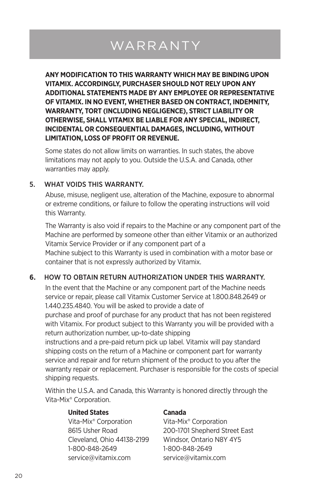# WARRANTY

**ANY MODIFICATION TO THIS WARRANTY WHICH MAY BE BINDING UPON VITAMIX. ACCORDINGLY, PURCHASER SHOULD NOT RELY UPON ANY ADDITIONAL STATEMENTS MADE BY ANY EMPLOYEE OR REPRESENTATIVE OF VITAMIX. IN NO EVENT, WHETHER BASED ON CONTRACT, INDEMNITY, WARRANTY, TORT (INCLUDING NEGLIGENCE), STRICT LIABILITY OR OTHERWISE, SHALL VITAMIX BE LIABLE FOR ANY SPECIAL, INDIRECT, INCIDENTAL OR CONSEQUENTIAL DAMAGES, INCLUDING, WITHOUT LIMITATION, LOSS OF PROFIT OR REVENUE.** 

Some states do not allow limits on warranties. In such states, the above limitations may not apply to you. Outside the U.S.A. and Canada, other warranties may apply.

#### 5. WHAT VOIDS THIS WARRANTY.

Abuse, misuse, negligent use, alteration of the Machine, exposure to abnormal or extreme conditions, or failure to follow the operating instructions will void this Warranty.

The Warranty is also void if repairs to the Machine or any component part of the Machine are performed by someone other than either Vitamix or an authorized Vitamix Service Provider or if any component part of a Machine subject to this Warranty is used in combination with a motor base or container that is not expressly authorized by Vitamix.

#### **6.** HOW TO OBTAIN RETURN AUTHORIZATION UNDER THIS WARRANTY.

In the event that the Machine or any component part of the Machine needs service or repair, please call Vitamix Customer Service at 1.800.848.2649 or 1.440.235.4840. You will be asked to provide a date of purchase and proof of purchase for any product that has not been registered

with Vitamix. For product subject to this Warranty you will be provided with a return authorization number, up-to-date shipping

instructions and a pre-paid return pick up label. Vitamix will pay standard shipping costs on the return of a Machine or component part for warranty service and repair and for return shipment of the product to you after the warranty repair or replacement. Purchaser is responsible for the costs of special shipping requests.

Within the U.S.A. and Canada, this Warranty is honored directly through the Vita-Mix® Corporation.

#### **United States Canada**

Vita-Mix® Corporation Vita-Mix® Corporation Cleveland, Ohio 44138-2199 Windsor, Ontario N8Y 4Y5 1-800-848-2649 1-800-848-2649 service@vitamix.com service@vitamix.com

8615 Usher Road 200-1701 Shepherd Street East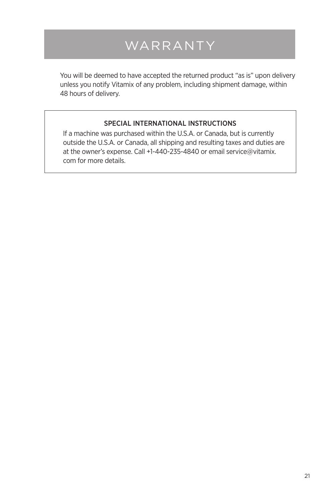# WARRANTY

You will be deemed to have accepted the returned product "as is" upon delivery unless you notify Vitamix of any problem, including shipment damage, within 48 hours of delivery.

#### SPECIAL INTERNATIONAL INSTRUCTIONS

If a machine was purchased within the U.S.A. or Canada, but is currently outside the U.S.A. or Canada, all shipping and resulting taxes and duties are at the owner's expense. Call +1-440-235-4840 or email service@vitamix. com for more details.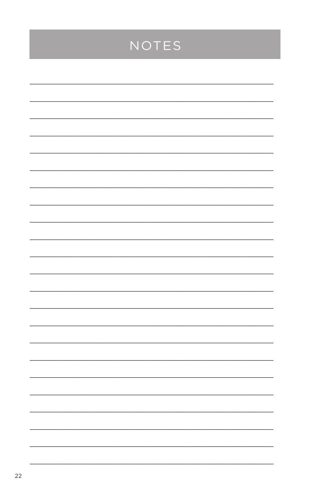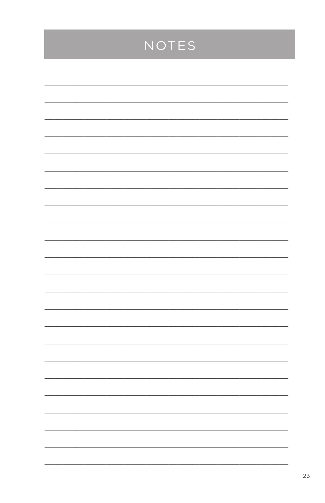